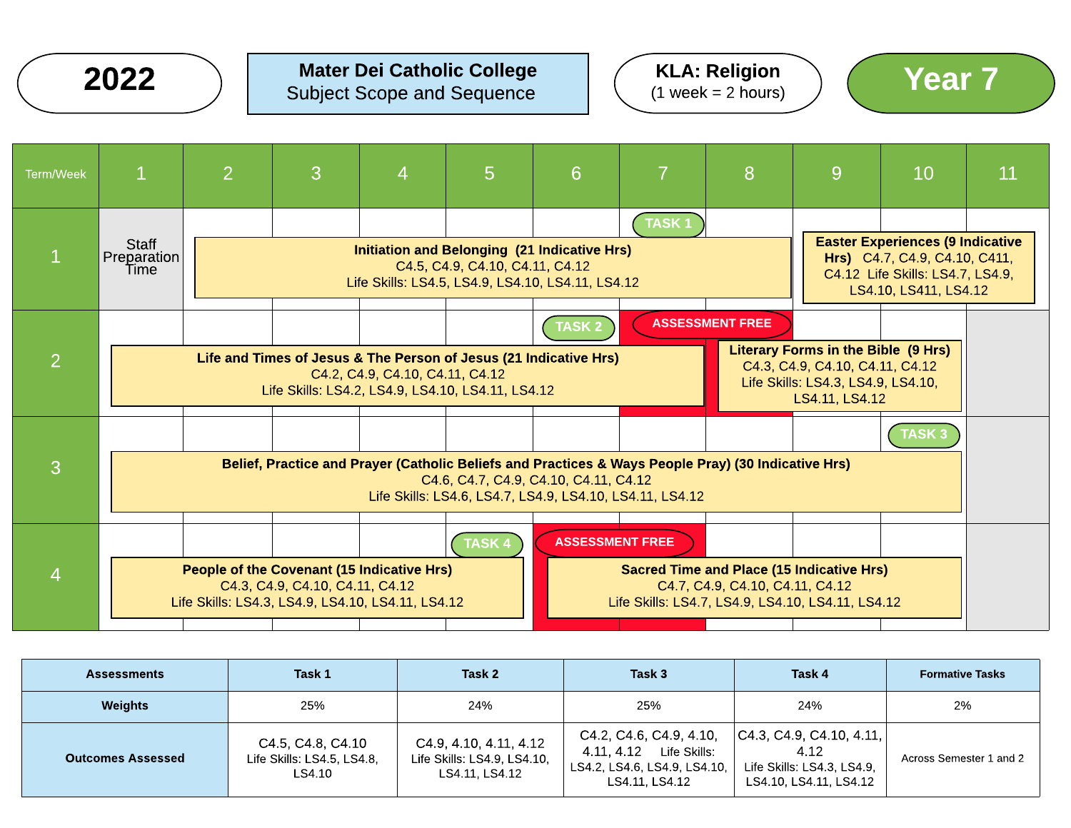

### $2022$  ) Mater Dei Catholic College  $(3.0022)$  ( $\frac{1}{2}$  Mater Scope and Sequence  $(1.0022)$  ( $\frac{1}{2}$  Meek = 2 hours) Subject Scope and Sequence







| <b>Assessments</b>       | Task 1                                                    | Task 2                                                                  | Task 3                                                                                                  | Task 4                                                                                   | <b>Formative Tasks</b>  |
|--------------------------|-----------------------------------------------------------|-------------------------------------------------------------------------|---------------------------------------------------------------------------------------------------------|------------------------------------------------------------------------------------------|-------------------------|
| <b>Weights</b>           | 25%                                                       | 24%                                                                     | 25%                                                                                                     | 24%                                                                                      | 2%                      |
| <b>Outcomes Assessed</b> | C4.5, C4.8, C4.10<br>Life Skills: LS4.5, LS4.8,<br>LS4.10 | C4.9, 4.10, 4.11, 4.12<br>Life Skills: LS4.9, LS4.10,<br>LS4.11, LS4.12 | C4.2, C4.6, C4.9, 4.10,<br>4.11, 4.12<br>Life Skills:<br>LS4.2, LS4.6, LS4.9, LS4.10,<br>LS4.11. LS4.12 | C4.3, C4.9, C4.10, 4.11,<br>4.12<br>Life Skills: LS4.3, LS4.9,<br>LS4.10, LS4.11, LS4.12 | Across Semester 1 and 2 |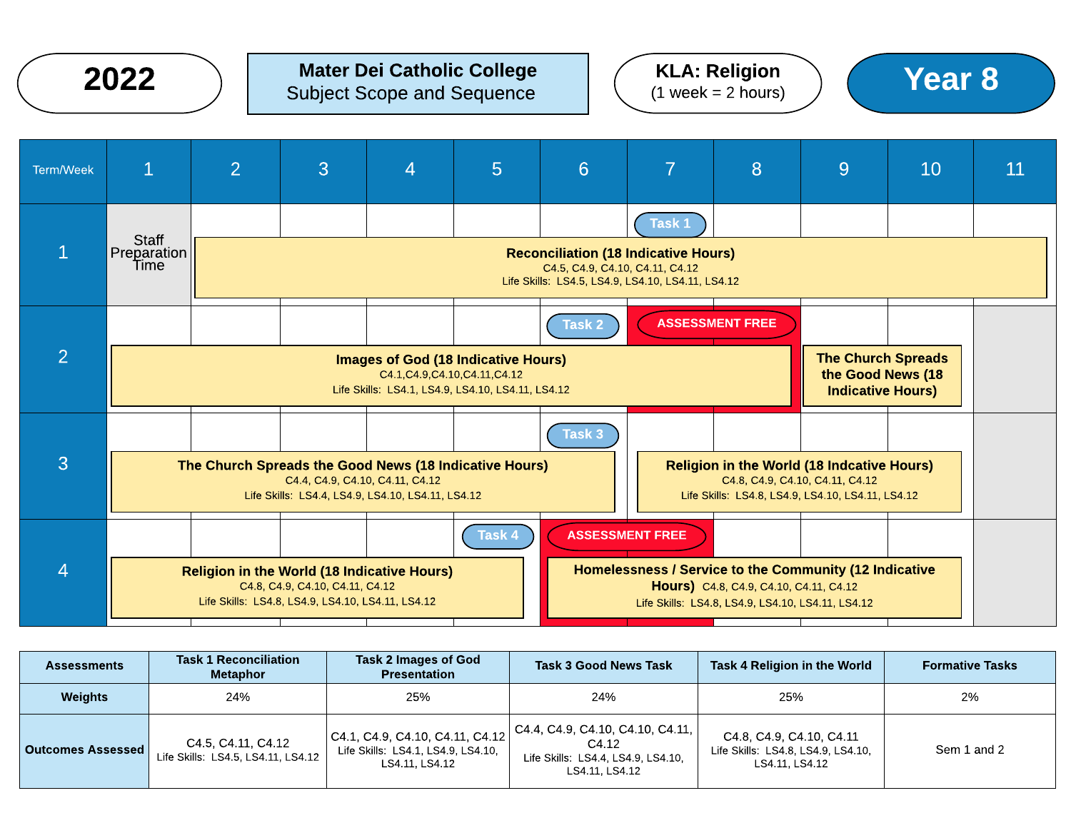|                | 2022                                                                                                                                                                                                                                                 |                |                                                                                      | <b>Mater Dei Catholic College</b><br><b>Subject Scope and Sequence</b>                                                                         |        |                                 |                                                                                                            | <b>KLA: Religion</b><br>$(1 week = 2 hours)$                                                |                                                                                                                                           | <b>Year 8</b> |    |
|----------------|------------------------------------------------------------------------------------------------------------------------------------------------------------------------------------------------------------------------------------------------------|----------------|--------------------------------------------------------------------------------------|------------------------------------------------------------------------------------------------------------------------------------------------|--------|---------------------------------|------------------------------------------------------------------------------------------------------------|---------------------------------------------------------------------------------------------|-------------------------------------------------------------------------------------------------------------------------------------------|---------------|----|
| Term/Week      | $\overline{1}$                                                                                                                                                                                                                                       | $\overline{2}$ | 3                                                                                    | $\overline{4}$                                                                                                                                 | 5      | $6\phantom{1}$                  | $\overline{7}$                                                                                             | 8                                                                                           | 9                                                                                                                                         | 10            | 11 |
|                | <b>Staff</b><br>Preparation<br>Time                                                                                                                                                                                                                  |                |                                                                                      |                                                                                                                                                |        | C4.5, C4.9, C4.10, C4.11, C4.12 | Task 1<br><b>Reconciliation (18 Indicative Hours)</b><br>Life Skills: LS4.5, LS4.9, LS4.10, LS4.11, LS4.12 |                                                                                             |                                                                                                                                           |               |    |
| $\overline{2}$ | <b>ASSESSMENT FREE</b><br>Task 2<br><b>The Church Spreads</b><br><b>Images of God (18 Indicative Hours)</b><br>the Good News (18<br>C4.1, C4.9, C4.10, C4.11, C4.12<br>Life Skills: LS4.1, LS4.9, LS4.10, LS4.11, LS4.12<br><b>Indicative Hours)</b> |                |                                                                                      |                                                                                                                                                |        |                                 |                                                                                                            |                                                                                             |                                                                                                                                           |               |    |
| 3              |                                                                                                                                                                                                                                                      |                |                                                                                      | The Church Spreads the Good News (18 Indicative Hours)<br>C4.4, C4.9, C4.10, C4.11, C4.12<br>Life Skills: LS4.4, LS4.9, LS4.10, LS4.11, LS4.12 |        | Task 3                          |                                                                                                            |                                                                                             | <b>Religion in the World (18 Indcative Hours)</b><br>C4.8, C4.9, C4.10, C4.11, C4.12<br>Life Skills: LS4.8, LS4.9, LS4.10, LS4.11, LS4.12 |               |    |
| $\overline{4}$ |                                                                                                                                                                                                                                                      |                | C4.8, C4.9, C4.10, C4.11, C4.12<br>Life Skills: LS4.8, LS4.9, LS4.10, LS4.11, LS4.12 | <b>Religion in the World (18 Indicative Hours)</b>                                                                                             | Task 4 |                                 | <b>ASSESSMENT FREE</b><br>Homelessness / Service to the Community (12 Indicative                           | Hours) C4.8, C4.9, C4.10, C4.11, C4.12<br>Life Skills: LS4.8, LS4.9, LS4.10, LS4.11, LS4.12 |                                                                                                                                           |               |    |

| <b>Assessments</b>       | <b>Task 1 Reconciliation</b><br>Task 2 Images of God<br><b>Presentation</b><br><b>Metaphor</b> |                                                                                             | <b>Task 3 Good News Task</b>                                                                      | Task 4 Religion in the World                                                     | <b>Formative Tasks</b> |
|--------------------------|------------------------------------------------------------------------------------------------|---------------------------------------------------------------------------------------------|---------------------------------------------------------------------------------------------------|----------------------------------------------------------------------------------|------------------------|
| Weights                  | 24%                                                                                            | 25%                                                                                         | 24%                                                                                               | 25%                                                                              | 2%                     |
| <b>Outcomes Assessed</b> | C4.5, C4.11, C4.12<br>Life Skills: LS4.5, LS4.11, LS4.12                                       | $ $ C4.1, C4.9, C4.10, C4.11, C4.12<br>Life Skills: LS4.1, LS4.9, LS4.10,<br>LS4.11, LS4.12 | C4.4, C4.9, C4.10, C4.10, C4.11,<br>C4.12<br>Life Skills: LS4.4, LS4.9, LS4.10,<br>LS4.11. LS4.12 | C4.8, C4.9, C4.10, C4.11<br>Life Skills: LS4.8, LS4.9, LS4.10,<br>LS4.11. LS4.12 | Sem 1 and 2            |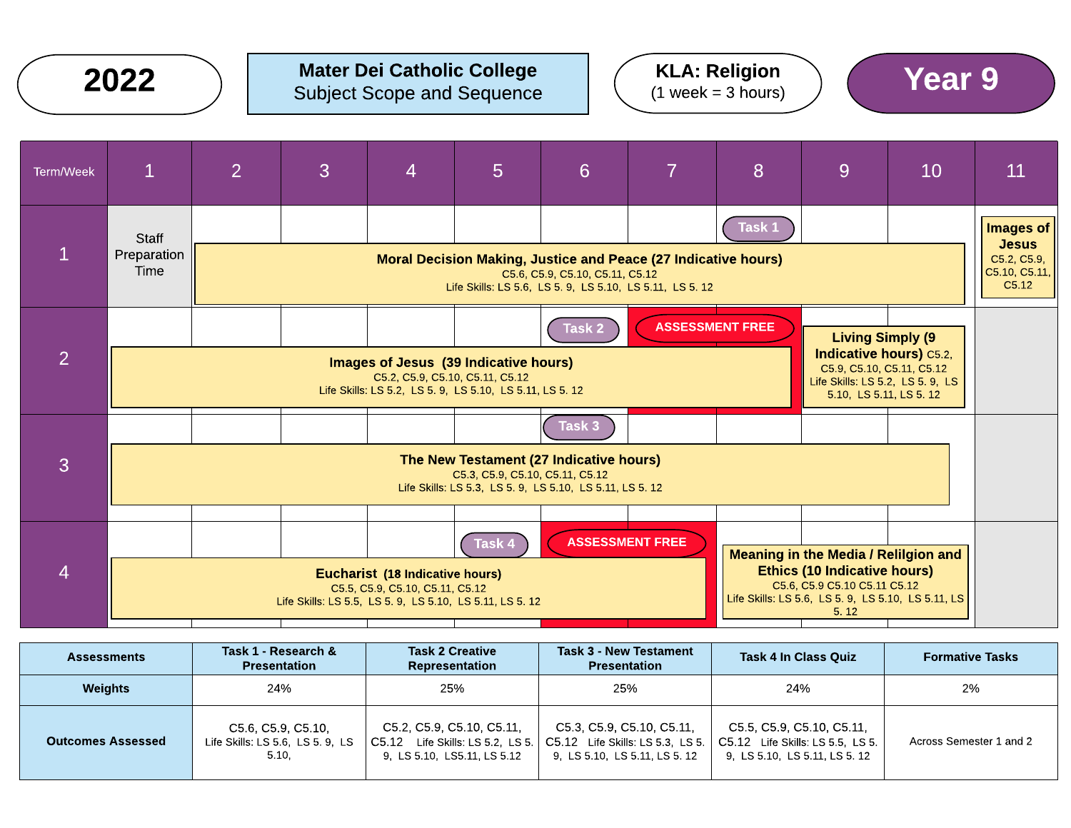

## Mater Dei Catholic College  $2022$  ) Mater Dei Catholic College  $(1 \text{ week} = 3 \text{ hours})$  (Year 9







| <b>Assessments</b>       | Task 1 - Research &<br><b>Presentation</b>                     | <b>Task 2 Creative</b><br>Representation                                                     | <b>Task 3 - New Testament</b><br><b>Presentation</b>                                           | <b>Task 4 In Class Quiz</b>                                                                    | <b>Formative Tasks</b>  |
|--------------------------|----------------------------------------------------------------|----------------------------------------------------------------------------------------------|------------------------------------------------------------------------------------------------|------------------------------------------------------------------------------------------------|-------------------------|
| <b>Weights</b>           | 24%                                                            | 25%                                                                                          | 25%                                                                                            | 24%                                                                                            | 2%                      |
| <b>Outcomes Assessed</b> | C5.6, C5.9, C5.10,<br>Life Skills: LS 5.6, LS 5.9, LS<br>5.10, | C5.2, C5.9, C5.10, C5.11,<br>C5.12 Life Skills: LS 5.2, LS 5.<br>9. LS 5 10. LS5.11. LS 5 12 | C5.3, C5.9, C5.10, C5.11,<br>C5.12 Life Skills: LS 5.3, LS 5.<br>9. LS 5.10. LS 5.11. LS 5. 12 | C5.5, C5.9, C5.10, C5.11,<br>C5.12 Life Skills: LS 5.5, LS 5.<br>9. LS 5.10. LS 5.11. LS 5. 12 | Across Semester 1 and 2 |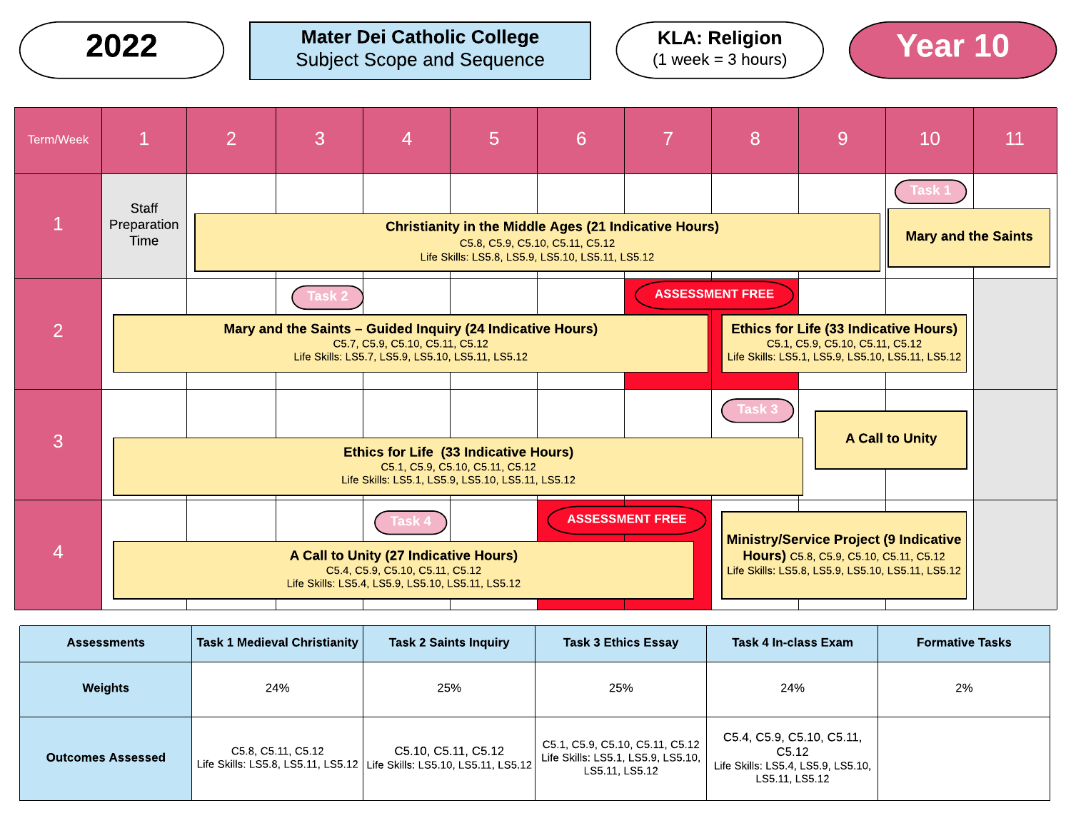$2022$  ) Mater Dei Catholic College  $(1 \text{ week} = 3 \text{ hours})$  (Year 10) Subject Scope and Sequence





| <b>Term/Week</b> | $\mathbf{1}$                 | $\overline{2}$                                                                                                                                                                                | 3 | 4                                                                                                                                       | 5                                                                                                                 | 6                               |                        | 87 | 9                                                                                                                                     | 10                                          | 11 |
|------------------|------------------------------|-----------------------------------------------------------------------------------------------------------------------------------------------------------------------------------------------|---|-----------------------------------------------------------------------------------------------------------------------------------------|-------------------------------------------------------------------------------------------------------------------|---------------------------------|------------------------|----|---------------------------------------------------------------------------------------------------------------------------------------|---------------------------------------------|----|
|                  | Staff<br>Preparation<br>Time |                                                                                                                                                                                               |   |                                                                                                                                         | <b>Christianity in the Middle Ages (21 Indicative Hours)</b><br>Life Skills: LS5.8, LS5.9, LS5.10, LS5.11, LS5.12 | C5.8, C5.9, C5.10, C5.11, C5.12 |                        |    |                                                                                                                                       | <b>Task 1</b><br><b>Mary and the Saints</b> |    |
| 2                |                              | <b>ASSESSMENT FREE</b><br><b>Task 2</b><br>Mary and the Saints - Guided Inquiry (24 Indicative Hours)<br>C5.7, C5.9, C5.10, C5.11, C5.12<br>Life Skills: LS5.7, LS5.9, LS5.10, LS5.11, LS5.12 |   |                                                                                                                                         |                                                                                                                   |                                 |                        |    | <b>Ethics for Life (33 Indicative Hours)</b><br>C5.1, C5.9, C5.10, C5.11, C5.12<br>Life Skills: LS5.1, LS5.9, LS5.10, LS5.11, LS5.12  |                                             |    |
| 3                |                              | Task 3<br><b>Ethics for Life (33 Indicative Hours)</b><br>C5.1, C5.9, C5.10, C5.11, C5.12<br>Life Skills: LS5.1, LS5.9, LS5.10, LS5.11, LS5.12                                                |   |                                                                                                                                         |                                                                                                                   |                                 |                        |    |                                                                                                                                       | <b>A Call to Unity</b>                      |    |
| 4                |                              |                                                                                                                                                                                               |   | Task 4<br>A Call to Unity (27 Indicative Hours)<br>C5.4, C5.9, C5.10, C5.11, C5.12<br>Life Skills: LS5.4, LS5.9, LS5.10, LS5.11, LS5.12 |                                                                                                                   |                                 | <b>ASSESSMENT FREE</b> |    | Ministry/Service Project (9 Indicative<br>Hours) C5.8, C5.9, C5.10, C5.11, C5.12<br>Life Skills: LS5.8, LS5.9, LS5.10, LS5.11, LS5.12 |                                             |    |

| <b>Assessments</b>       | Task 1 Medieval Christianity | <b>Task 2 Saints Inquiry</b>                                                                    | <b>Task 3 Ethics Essay</b>                                                              | Task 4 In-class Exam                                                                       | <b>Formative Tasks</b> |
|--------------------------|------------------------------|-------------------------------------------------------------------------------------------------|-----------------------------------------------------------------------------------------|--------------------------------------------------------------------------------------------|------------------------|
| <b>Weights</b>           | 24%                          | 25%                                                                                             | 25%                                                                                     | 24%                                                                                        | 2%                     |
| <b>Outcomes Assessed</b> | C5.8, C5.11, C5.12           | C5.10, C5.11, C5.12<br>Life Skills: LS5.8, LS5.11, LS5.12   Life Skills: LS5.10, LS5.11, LS5.12 | C5.1, C5.9, C5.10, C5.11, C5.12<br>Life Skills: LS5.1, LS5.9, LS5.10,<br>LS5.11, LS5.12 | C5.4, C5.9, C5.10, C5.11,<br>C5.12<br>Life Skills: LS5.4, LS5.9, LS5.10,<br>LS5.11, LS5.12 |                        |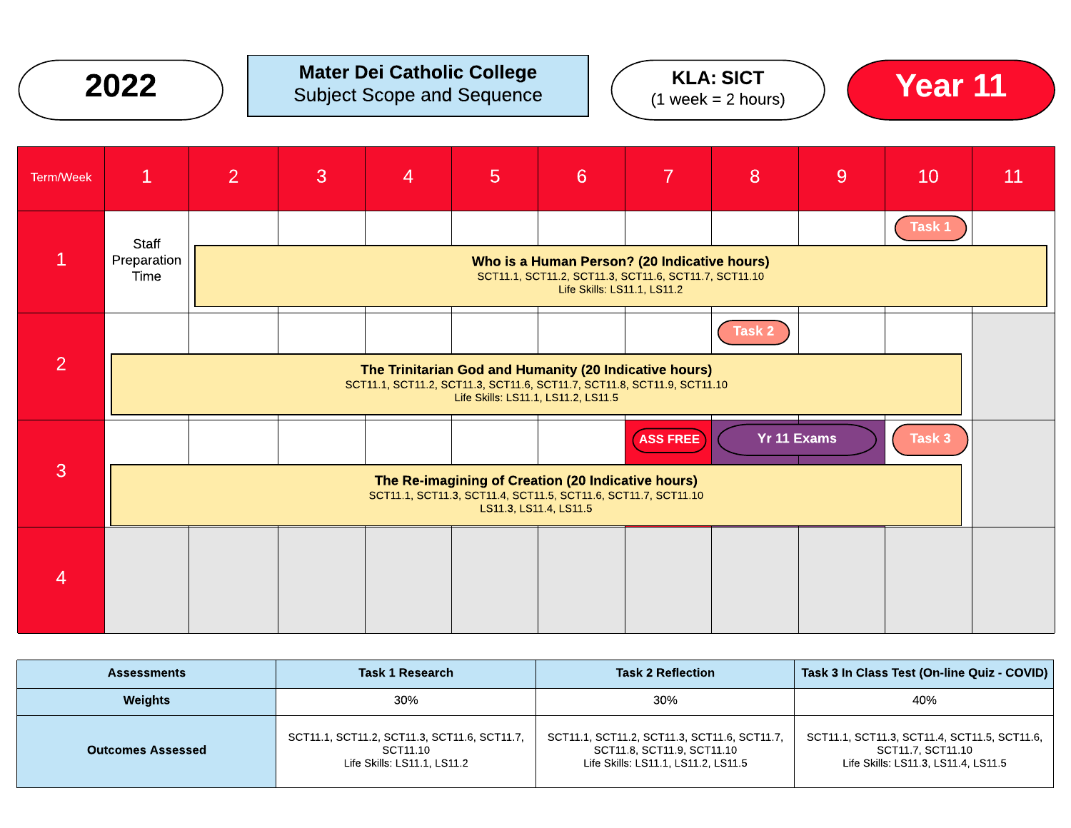

### Mater Dei Catholic College **2022**  $\bigcirc$  Subject Scope and Sequence  $\bigcirc$  (  $\bigcirc$  KLA: SICT  $\bigcirc$  **Year 11**





| <b>Term/Week</b> | $\mathbf{1}$                                                                                                                                                                                      | $\overline{2}$ | 3 | 4 | $5\overline{)}$ | 6                                                                                                                                    | $\overline{7}$ | 8 | 9 | 10     | 11 |
|------------------|---------------------------------------------------------------------------------------------------------------------------------------------------------------------------------------------------|----------------|---|---|-----------------|--------------------------------------------------------------------------------------------------------------------------------------|----------------|---|---|--------|----|
|                  | Staff<br>Preparation<br>Time                                                                                                                                                                      |                |   |   |                 | Who is a Human Person? (20 Indicative hours)<br>SCT11.1, SCT11.2, SCT11.3, SCT11.6, SCT11.7, SCT11.10<br>Life Skills: LS11.1, LS11.2 |                |   |   | Task 1 |    |
| $\overline{2}$   | Task 2<br>The Trinitarian God and Humanity (20 Indicative hours)<br>SCT11.1, SCT11.2, SCT11.3, SCT11.6, SCT11.7, SCT11.8, SCT11.9, SCT11.10<br>Life Skills: LS11.1, LS11.2, LS11.5                |                |   |   |                 |                                                                                                                                      |                |   |   |        |    |
| 3                | <b>Yr 11 Exams</b><br>Task 3<br><b>ASS FREE</b><br>The Re-imagining of Creation (20 Indicative hours)<br>SCT11.1, SCT11.3, SCT11.4, SCT11.5, SCT11.6, SCT11.7, SCT11.10<br>LS11.3, LS11.4, LS11.5 |                |   |   |                 |                                                                                                                                      |                |   |   |        |    |
| 4                |                                                                                                                                                                                                   |                |   |   |                 |                                                                                                                                      |                |   |   |        |    |

| <b>Assessments</b>       | <b>Task 1 Research</b>                                                                  | <b>Task 2 Reflection</b>                                                                                          | Task 3 In Class Test (On-line Quiz - COVID)                                                              |
|--------------------------|-----------------------------------------------------------------------------------------|-------------------------------------------------------------------------------------------------------------------|----------------------------------------------------------------------------------------------------------|
| <b>Weights</b>           | 30%                                                                                     | 30%                                                                                                               | 40%                                                                                                      |
| <b>Outcomes Assessed</b> | SCT11.1, SCT11.2, SCT11.3, SCT11.6, SCT11.7,<br>SCT11.10<br>Life Skills: LS11.1, LS11.2 | SCT11.1, SCT11.2, SCT11.3, SCT11.6, SCT11.7,<br>SCT11.8, SCT11.9, SCT11.10<br>Life Skills: LS11.1, LS11.2, LS11.5 | SCT11.1, SCT11.3, SCT11.4, SCT11.5, SCT11.6,<br>SCT11.7. SCT11.10<br>Life Skills: LS11.3, LS11.4, LS11.5 |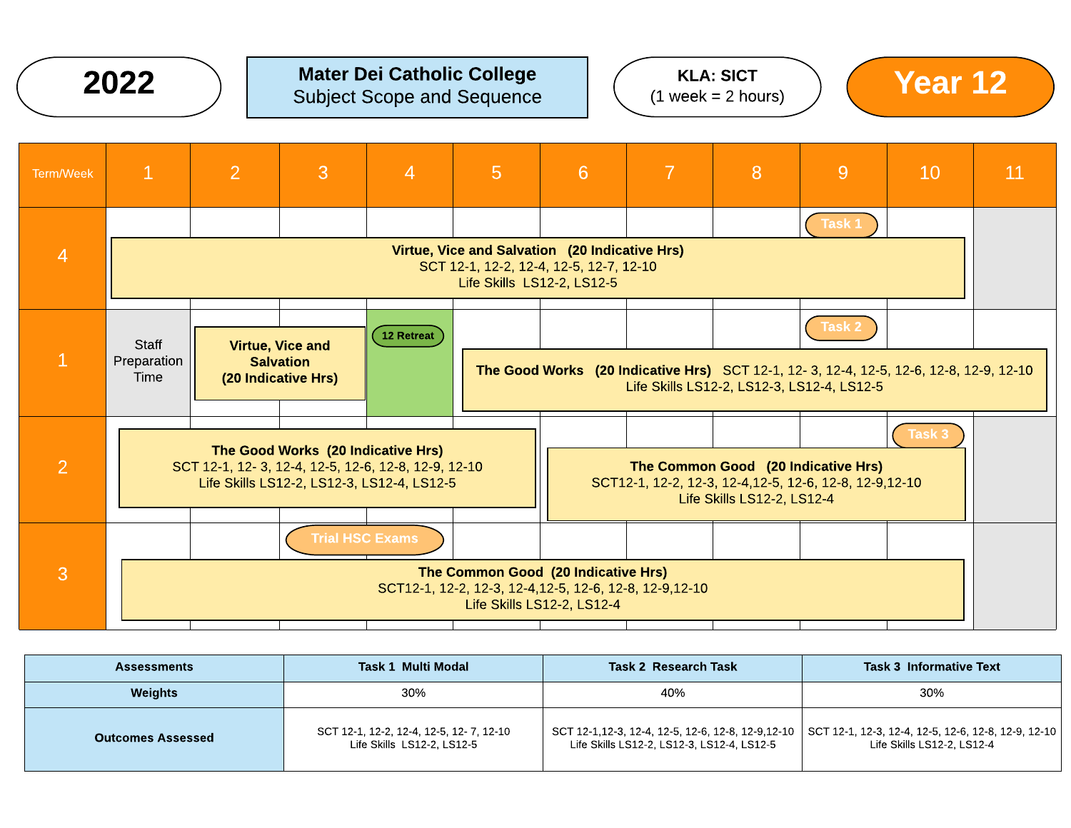

### Mater Dei Catholic College Subject Scope and Sequence 2022 ) Mater Dei Catholic College  $(2022)$  Mater Dei Catholic College  $(2022)$  ( $\frac{1 \text{ Week} - 2 \text{ hours}}{2 \text{ Week} - 2 \text{ hours}}$ ) ( $\frac{12}{2 \text{ Week}}$







| <b>Assessments</b>       | Task 1 Multi Modal                                                    | <b>Task 2 Research Task</b>                | <b>Task 3 Informative Text</b>                                                                                                      |
|--------------------------|-----------------------------------------------------------------------|--------------------------------------------|-------------------------------------------------------------------------------------------------------------------------------------|
| <b>Weights</b>           | 30%                                                                   | 40%                                        | 30%                                                                                                                                 |
| <b>Outcomes Assessed</b> | SCT 12-1, 12-2, 12-4, 12-5, 12-7, 12-10<br>Life Skills LS12-2, LS12-5 | Life Skills LS12-2, LS12-3, LS12-4, LS12-5 | SCT 12-1,12-3, 12-4, 12-5, 12-6, 12-8, 12-9,12-10 SCT 12-1, 12-3, 12-4, 12-5, 12-6, 12-8, 12-9, 12-10<br>Life Skills LS12-2, LS12-4 |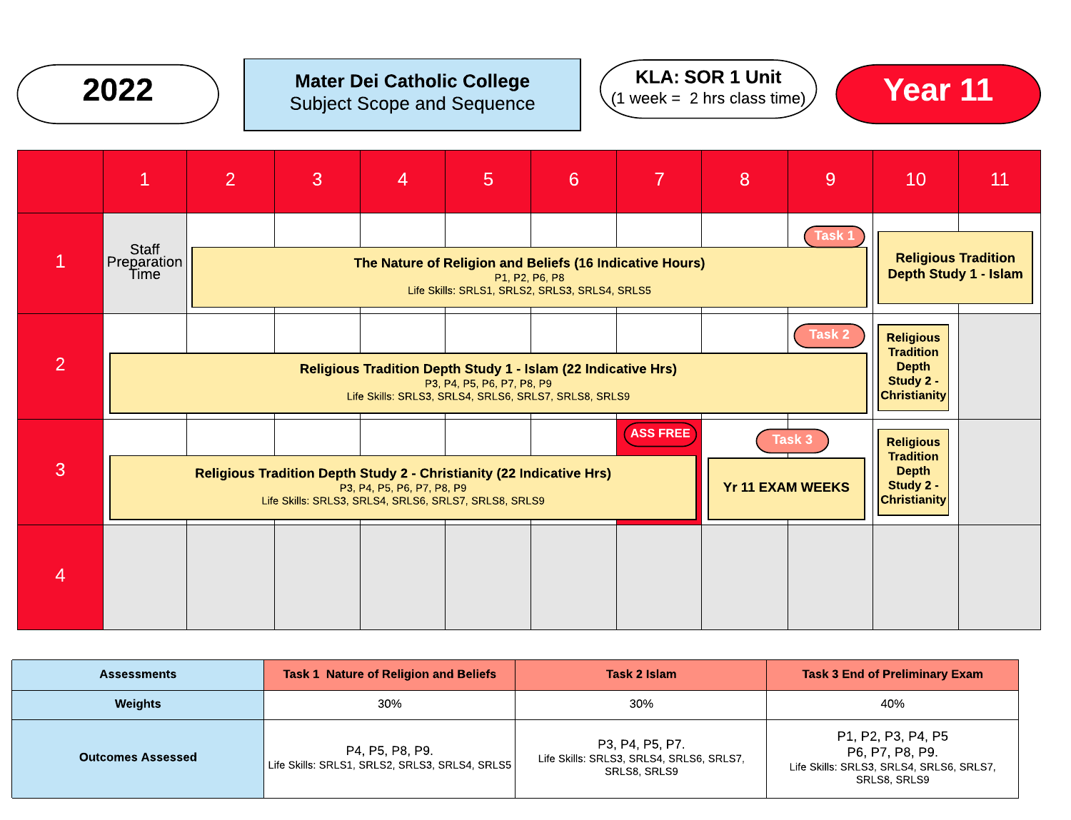

## Mater Dei Catholic College







| <b>Assessments</b>       | <b>Task 1 Nature of Religion and Beliefs</b>                      | Task 2 Islam                                                                | <b>Task 3 End of Preliminary Exam</b>                                                             |  |
|--------------------------|-------------------------------------------------------------------|-----------------------------------------------------------------------------|---------------------------------------------------------------------------------------------------|--|
| <b>Weights</b>           | 30%                                                               | 30%                                                                         | 40%                                                                                               |  |
| <b>Outcomes Assessed</b> | P4, P5, P8, P9.<br>Life Skills: SRLS1, SRLS2, SRLS3, SRLS4, SRLS5 | P3, P4, P5, P7.<br>Life Skills: SRLS3, SRLS4, SRLS6, SRLS7,<br>SRLS8, SRLS9 | P1, P2, P3, P4, P5<br>P6, P7, P8, P9.<br>Life Skills: SRLS3, SRLS4, SRLS6, SRLS7,<br>SRLS8, SRLS9 |  |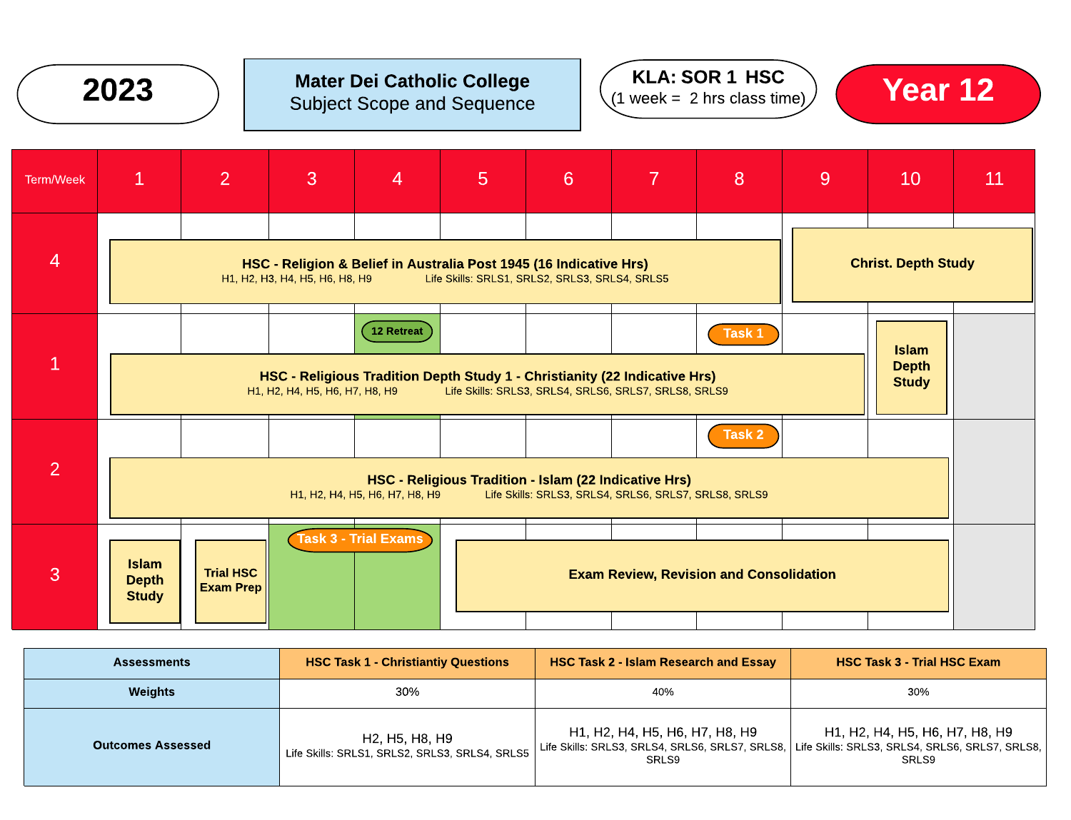![](_page_7_Picture_0.jpeg)

# Subject Scope and Sequence

![](_page_7_Picture_2.jpeg)

![](_page_7_Picture_3.jpeg)

| <b>Term/Week</b> | $\mathbf{1}$                                                                                                                                                                                                                               | 2                             | $\mathbf{3}$                   | $\overline{4}$                 | $\overline{5}$ | 6                                                                                                                    | 7 | 8                                              | 9 | 10                         | 11 |
|------------------|--------------------------------------------------------------------------------------------------------------------------------------------------------------------------------------------------------------------------------------------|-------------------------------|--------------------------------|--------------------------------|----------------|----------------------------------------------------------------------------------------------------------------------|---|------------------------------------------------|---|----------------------------|----|
| $\overline{4}$   |                                                                                                                                                                                                                                            |                               | H1, H2, H3, H4, H5, H6, H8, H9 |                                |                | HSC - Religion & Belief in Australia Post 1945 (16 Indicative Hrs)<br>Life Skills: SRLS1, SRLS2, SRLS3, SRLS4, SRLS5 |   |                                                |   | <b>Christ. Depth Study</b> |    |
| $\mathbf{1}$     | 12 Retreat<br>Task 1<br><b>Islam</b><br><b>Depth</b><br>HSC - Religious Tradition Depth Study 1 - Christianity (22 Indicative Hrs)<br><b>Study</b><br>H1, H2, H4, H5, H6, H7, H8, H9 Life Skills: SRLS3, SRLS4, SRLS6, SRLS7, SRLS8, SRLS9 |                               |                                |                                |                |                                                                                                                      |   |                                                |   |                            |    |
| $\overline{2}$   |                                                                                                                                                                                                                                            |                               |                                | H1, H2, H4, H5, H6, H7, H8, H9 |                | HSC - Religious Tradition - Islam (22 Indicative Hrs)<br>Life Skills: SRLS3, SRLS4, SRLS6, SRLS7, SRLS8, SRLS9       |   | Task 2                                         |   |                            |    |
| 3                | <b>Islam</b><br><b>Depth</b><br><b>Study</b>                                                                                                                                                                                               | <b>Trial HSC</b><br>Exam Prep |                                | <b>Task 3 - Trial Exams</b>    |                |                                                                                                                      |   | <b>Exam Review, Revision and Consolidation</b> |   |                            |    |

| <b>Assessments</b>       | <b>HSC Task 1 - Christiantiy Questions</b>                       | <b>HSC Task 2 - Islam Research and Essay</b> | <b>HSC Task 3 - Trial HSC Exam</b>                                                                                                           |
|--------------------------|------------------------------------------------------------------|----------------------------------------------|----------------------------------------------------------------------------------------------------------------------------------------------|
| <b>Weights</b>           | 30%                                                              | 40%                                          | 30%                                                                                                                                          |
| <b>Outcomes Assessed</b> | H2, H5, H8, H9<br>Life Skills: SRLS1, SRLS2, SRLS3, SRLS4, SRLS5 | H1, H2, H4, H5, H6, H7, H8, H9<br>SRLS9      | H1, H2, H4, H5, H6, H7, H8, H9<br>Life Skills: SRLS3, SRLS4, SRLS6, SRLS7, SRLS8,   Life Skills: SRLS3, SRLS4, SRLS6, SRLS7, SRLS8,<br>SRLS9 |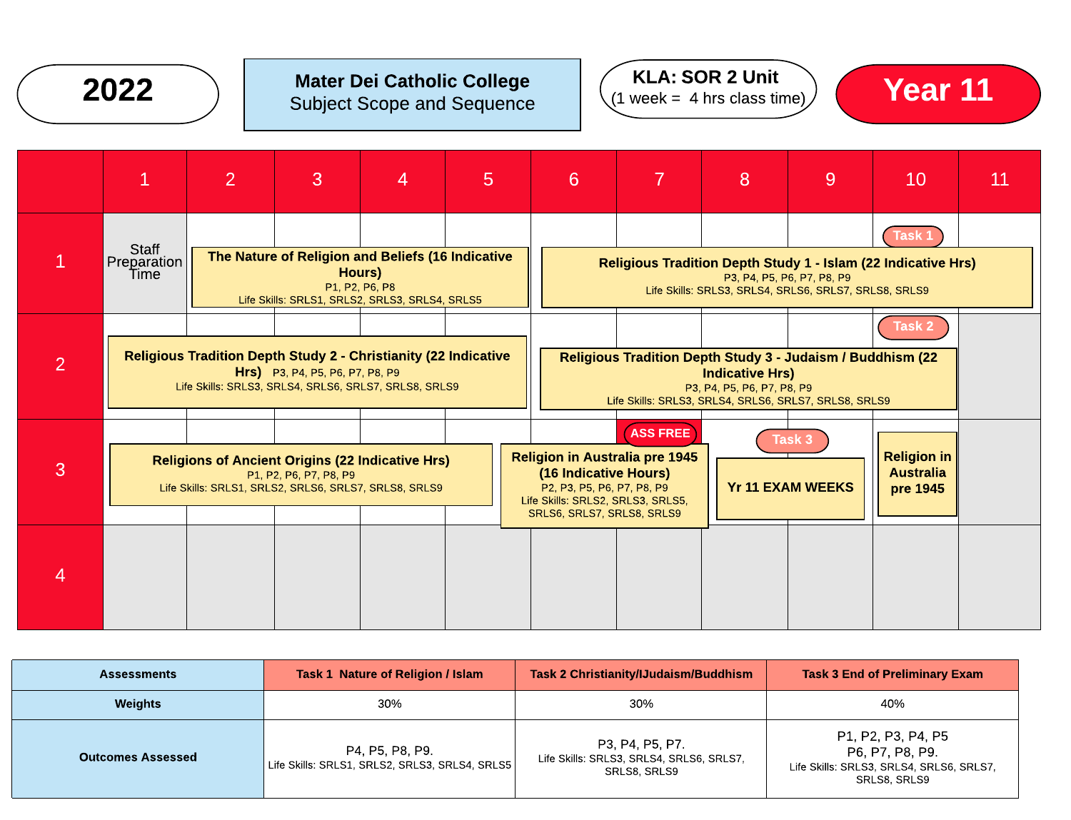![](_page_8_Picture_0.jpeg)

## Mater Dei Catholic College  $2022$  ) Mater Dei Catholic College  $(1 \text{ week} = 4 \text{ hrs class time})$  Year 11

![](_page_8_Picture_2.jpeg)

![](_page_8_Picture_3.jpeg)

|                | $\mathbf{1}$                                                                                                                                                       | $\overline{2}$ | 3 | 4 | 5                                                                                                                                                                                                                                                                             | 6                                                                                                                                                                                     |  | 8 | 9 | 10 | 11 |
|----------------|--------------------------------------------------------------------------------------------------------------------------------------------------------------------|----------------|---|---|-------------------------------------------------------------------------------------------------------------------------------------------------------------------------------------------------------------------------------------------------------------------------------|---------------------------------------------------------------------------------------------------------------------------------------------------------------------------------------|--|---|---|----|----|
|                | Staff<br>The Nature of Religion and Beliefs (16 Indicative<br>Preparation<br>Hours)<br>Time<br>P1, P2, P6, P8<br>Life Skills: SRLS1, SRLS2, SRLS3, SRLS4, SRLS5    |                |   |   | Task 1<br><b>Religious Tradition Depth Study 1 - Islam (22 Indicative Hrs)</b><br>P3, P4, P5, P6, P7, P8, P9<br>Life Skills: SRLS3, SRLS4, SRLS6, SRLS7, SRLS8, SRLS9                                                                                                         |                                                                                                                                                                                       |  |   |   |    |    |
| $\overline{2}$ | <b>Religious Tradition Depth Study 2 - Christianity (22 Indicative</b><br>Hrs) P3, P4, P5, P6, P7, P8, P9<br>Life Skills: SRLS3, SRLS4, SRLS6, SRLS7, SRLS8, SRLS9 |                |   |   |                                                                                                                                                                                                                                                                               | Task 2<br>Religious Tradition Depth Study 3 - Judaism / Buddhism (22<br><b>Indicative Hrs)</b><br>P3, P4, P5, P6, P7, P8, P9<br>Life Skills: SRLS3, SRLS4, SRLS6, SRLS7, SRLS8, SRLS9 |  |   |   |    |    |
| 3              | <b>Religions of Ancient Origins (22 Indicative Hrs)</b><br>P1, P2, P6, P7, P8, P9<br>Life Skills: SRLS1, SRLS2, SRLS6, SRLS7, SRLS8, SRLS9                         |                |   |   | <b>ASS FREE</b><br>Task 3<br><b>Religion in</b><br><b>Religion in Australia pre 1945</b><br><b>Australia</b><br>(16 Indicative Hours)<br><b>Yr 11 EXAM WEEKS</b><br>P2, P3, P5, P6, P7, P8, P9<br>pre 1945<br>Life Skills: SRLS2, SRLS3, SRLS5,<br>SRLS6, SRLS7, SRLS8, SRLS9 |                                                                                                                                                                                       |  |   |   |    |    |
|                |                                                                                                                                                                    |                |   |   |                                                                                                                                                                                                                                                                               |                                                                                                                                                                                       |  |   |   |    |    |

| <b>Assessments</b>       | Task 1 Nature of Religion / Islam                                 | Task 2 Christianity/IJudaism/Buddhism                                       | <b>Task 3 End of Preliminary Exam</b>                                                             |  |
|--------------------------|-------------------------------------------------------------------|-----------------------------------------------------------------------------|---------------------------------------------------------------------------------------------------|--|
| <b>Weights</b>           | 30%                                                               | 30%                                                                         | 40%                                                                                               |  |
| <b>Outcomes Assessed</b> | P4, P5, P8, P9.<br>Life Skills: SRLS1, SRLS2, SRLS3, SRLS4, SRLS5 | P3, P4, P5, P7.<br>Life Skills: SRLS3, SRLS4, SRLS6, SRLS7,<br>SRLS8, SRLS9 | P1, P2, P3, P4, P5<br>P6, P7, P8, P9.<br>Life Skills: SRLS3, SRLS4, SRLS6, SRLS7,<br>SRLS8, SRLS9 |  |